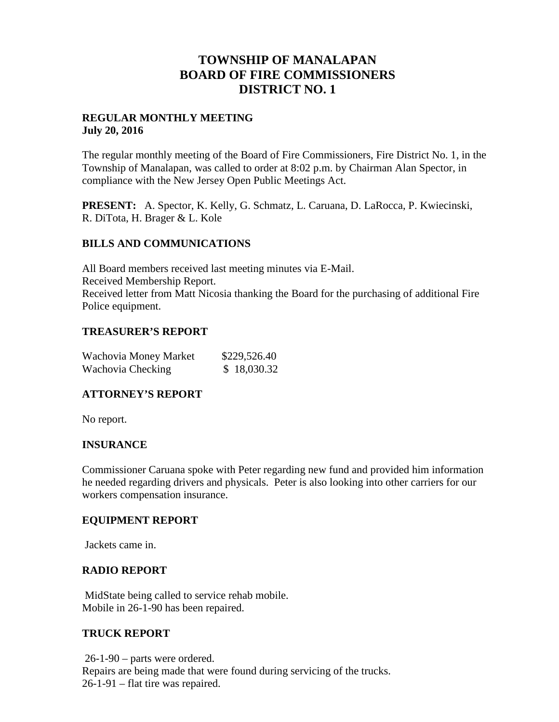## **TOWNSHIP OF MANALAPAN BOARD OF FIRE COMMISSIONERS DISTRICT NO. 1**

#### **REGULAR MONTHLY MEETING July 20, 2016**

The regular monthly meeting of the Board of Fire Commissioners, Fire District No. 1, in the Township of Manalapan, was called to order at 8:02 p.m. by Chairman Alan Spector, in compliance with the New Jersey Open Public Meetings Act.

**PRESENT:** A. Spector, K. Kelly, G. Schmatz, L. Caruana, D. LaRocca, P. Kwiecinski, R. DiTota, H. Brager & L. Kole

#### **BILLS AND COMMUNICATIONS**

All Board members received last meeting minutes via E-Mail. Received Membership Report. Received letter from Matt Nicosia thanking the Board for the purchasing of additional Fire Police equipment.

#### **TREASURER'S REPORT**

| Wachovia Money Market | \$229,526.40 |
|-----------------------|--------------|
| Wachovia Checking     | \$18,030.32  |

#### **ATTORNEY'S REPORT**

No report.

#### **INSURANCE**

Commissioner Caruana spoke with Peter regarding new fund and provided him information he needed regarding drivers and physicals. Peter is also looking into other carriers for our workers compensation insurance.

#### **EQUIPMENT REPORT**

Jackets came in.

#### **RADIO REPORT**

MidState being called to service rehab mobile. Mobile in 26-1-90 has been repaired.

#### **TRUCK REPORT**

26-1-90 – parts were ordered. Repairs are being made that were found during servicing of the trucks. 26-1-91 – flat tire was repaired.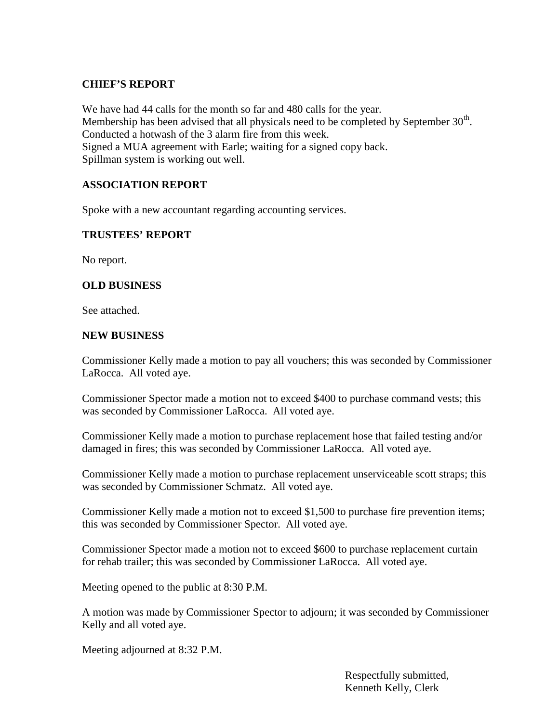### **CHIEF'S REPORT**

We have had 44 calls for the month so far and 480 calls for the year. Membership has been advised that all physicals need to be completed by September  $30<sup>th</sup>$ . Conducted a hotwash of the 3 alarm fire from this week. Signed a MUA agreement with Earle; waiting for a signed copy back. Spillman system is working out well.

## **ASSOCIATION REPORT**

Spoke with a new accountant regarding accounting services.

#### **TRUSTEES' REPORT**

No report.

#### **OLD BUSINESS**

See attached.

#### **NEW BUSINESS**

Commissioner Kelly made a motion to pay all vouchers; this was seconded by Commissioner LaRocca. All voted aye.

Commissioner Spector made a motion not to exceed \$400 to purchase command vests; this was seconded by Commissioner LaRocca. All voted aye.

Commissioner Kelly made a motion to purchase replacement hose that failed testing and/or damaged in fires; this was seconded by Commissioner LaRocca. All voted aye.

Commissioner Kelly made a motion to purchase replacement unserviceable scott straps; this was seconded by Commissioner Schmatz. All voted aye.

Commissioner Kelly made a motion not to exceed \$1,500 to purchase fire prevention items; this was seconded by Commissioner Spector. All voted aye.

Commissioner Spector made a motion not to exceed \$600 to purchase replacement curtain for rehab trailer; this was seconded by Commissioner LaRocca. All voted aye.

Meeting opened to the public at 8:30 P.M.

A motion was made by Commissioner Spector to adjourn; it was seconded by Commissioner Kelly and all voted aye.

Meeting adjourned at 8:32 P.M.

Respectfully submitted, Kenneth Kelly, Clerk